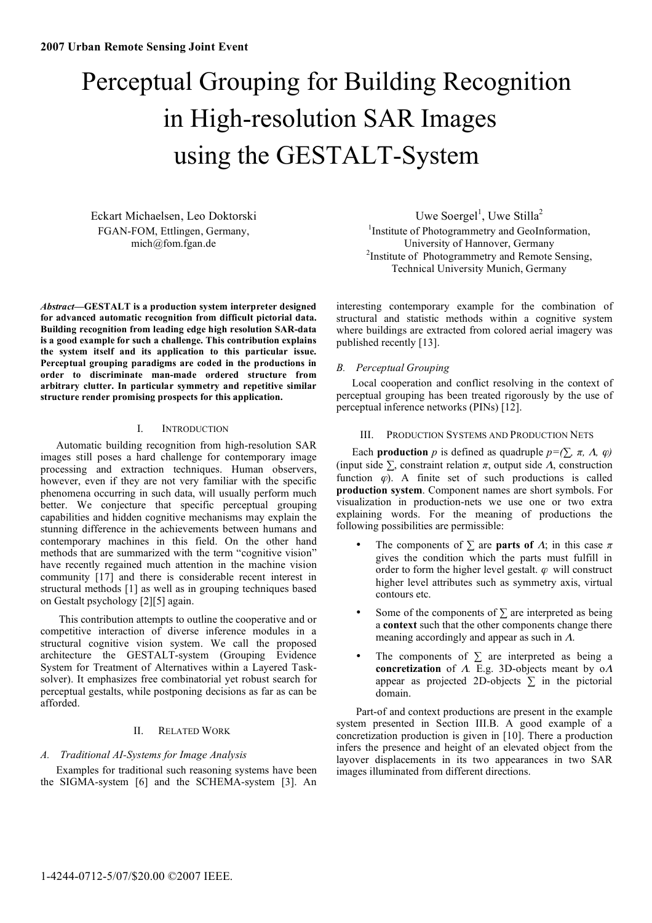# Perceptual Grouping for Building Recognition in High-resolution SAR Images using the GESTALT-System

Eckart Michaelsen, Leo Doktorski FGAN-FOM, Ettlingen, Germany, mich@fom.fgan.de

*Abstract***—GESTALT is a production system interpreter designed for advanced automatic recognition from difficult pictorial data. Building recognition from leading edge high resolution SAR-data is a good example for such a challenge. This contribution explains the system itself and its application to this particular issue. Perceptual grouping paradigms are coded in the productions in order to discriminate man-made ordered structure from arbitrary clutter. In particular symmetry and repetitive similar structure render promising prospects for this application.** 

## I. INTRODUCTION

Automatic building recognition from high-resolution SAR images still poses a hard challenge for contemporary image processing and extraction techniques. Human observers, however, even if they are not very familiar with the specific phenomena occurring in such data, will usually perform much better. We conjecture that specific perceptual grouping capabilities and hidden cognitive mechanisms may explain the stunning difference in the achievements between humans and contemporary machines in this field. On the other hand methods that are summarized with the term "cognitive vision" have recently regained much attention in the machine vision community [17] and there is considerable recent interest in structural methods [1] as well as in grouping techniques based on Gestalt psychology [2][5] again.

 This contribution attempts to outline the cooperative and or competitive interaction of diverse inference modules in a structural cognitive vision system. We call the proposed architecture the GESTALT-system (Grouping Evidence System for Treatment of Alternatives within a Layered Tasksolver). It emphasizes free combinatorial yet robust search for perceptual gestalts, while postponing decisions as far as can be afforded.

## II. RELATED WORK

## *A. Traditional AI-Systems for Image Analysis*

Examples for traditional such reasoning systems have been the SIGMA-system [6] and the SCHEMA-system [3]. An

Uwe Soergel<sup>1</sup>, Uwe Stilla<sup>2</sup> <sup>1</sup>Institute of Photogrammetry and GeoInformation, University of Hannover, Germany 2 <sup>2</sup>Institute of Photogrammetry and Remote Sensing, Technical University Munich, Germany

interesting contemporary example for the combination of structural and statistic methods within a cognitive system where buildings are extracted from colored aerial imagery was published recently [13].

## *B. Perceptual Grouping*

Local cooperation and conflict resolving in the context of perceptual grouping has been treated rigorously by the use of perceptual inference networks (PINs) [12].

## III. PRODUCTION SYSTEMS AND PRODUCTION NETS

Each **production** p is defined as quadruple  $p = (\sum \pi, \Lambda, \varphi)$ (input side  $\Sigma$ , constraint relation  $\pi$ , output side  $\Lambda$ , construction function  $\varphi$ ). A finite set of such productions is called **production system**. Component names are short symbols. For visualization in production-nets we use one or two extra explaining words. For the meaning of productions the following possibilities are permissible:

- The components of  $\Sigma$  are **parts of**  $\Lambda$ ; in this case  $\pi$ gives the condition which the parts must fulfill in order to form the higher level gestalt.  $\varphi$  will construct higher level attributes such as symmetry axis, virtual contours etc.
- Some of the components of  $\Sigma$  are interpreted as being a **context** such that the other components change there meaning accordingly and appear as such in  $\Lambda$ .
- The components of  $\Sigma$  are interpreted as being a **concretization** of  $A$ . E.g. 3D-objects meant by  $oA$ appear as projected 2D-objects  $\Sigma$  in the pictorial domain.

Part-of and context productions are present in the example system presented in Section III.B. A good example of a concretization production is given in [10]. There a production infers the presence and height of an elevated object from the layover displacements in its two appearances in two SAR images illuminated from different directions.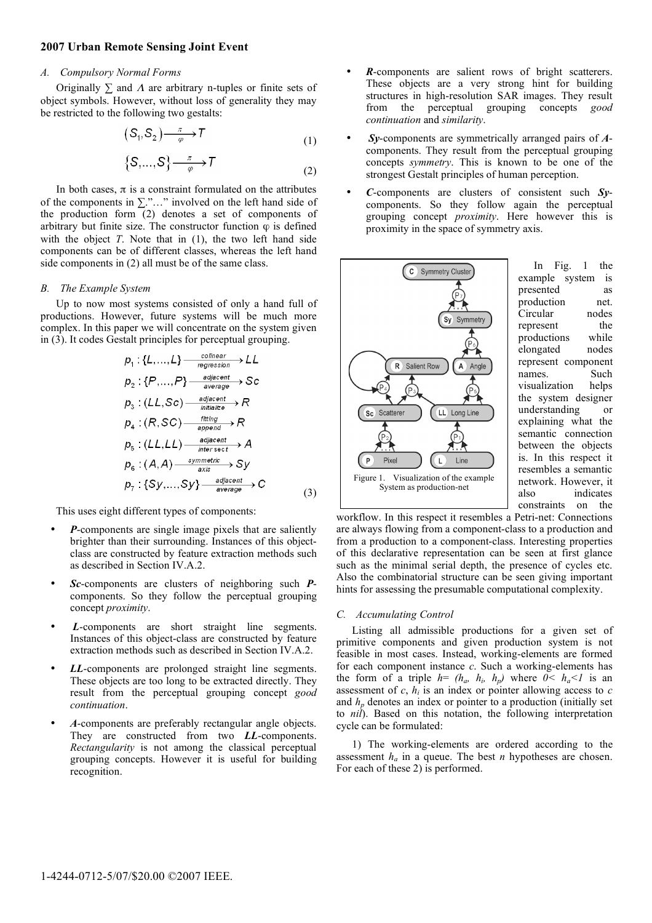### **2007 Urban Remote Sensing Joint Event**

#### *A. Compulsory Normal Forms*

Originally  $\Sigma$  and  $\Lambda$  are arbitrary n-tuples or finite sets of object symbols. However, without loss of generality they may be restricted to the following two gestalts:

$$
(S_1, S_2) \xrightarrow{\pi} T \tag{1}
$$

$$
\{S,...,S\} \xrightarrow{\pi} T
$$
 (2)

In both cases,  $\pi$  is a constraint formulated on the attributes of the components in  $\Sigma$ ."..." involved on the left hand side of the production form (2) denotes a set of components of arbitrary but finite size. The constructor function  $\varphi$  is defined with the object *T*. Note that in (1), the two left hand side components can be of different classes, whereas the left hand side components in (2) all must be of the same class.

#### *B. The Example System*

Up to now most systems consisted of only a hand full of productions. However, future systems will be much more complex. In this paper we will concentrate on the system given in (3). It codes Gestalt principles for perceptual grouping.

$$
p_1: \{L, ..., L\} \xrightarrow{collnear} \text{ } L \perp
$$
\n
$$
p_2: \{P, ..., P\} \xrightarrow{adjacent} \text{ } SC
$$
\n
$$
p_3: (L \perp, SC) \xrightarrow{adjacent} \text{ } R
$$
\n
$$
p_4: (R, SC) \xrightarrow{ifnting} \text{ } R
$$
\n
$$
p_5: (L \perp, LL) \xrightarrow{adjacent} \text{ } A
$$
\n
$$
p_6: (A, A) \xrightarrow{symmetric} \text{ } SY
$$
\n
$$
p_7: \{Sy, ..., Sy\} \xrightarrow{adjacent} \text{ } C
$$
\n(3)

This uses eight different types of components:

- *P*-components are single image pixels that are saliently brighter than their surrounding. Instances of this objectclass are constructed by feature extraction methods such as described in Section IV.A.2.
- *Sc*-components are clusters of neighboring such *P*components. So they follow the perceptual grouping concept *proximity*.
- L-components are short straight line segments. Instances of this object-class are constructed by feature extraction methods such as described in Section IV.A.2.
- LL-components are prolonged straight line segments. These objects are too long to be extracted directly. They result from the perceptual grouping concept *good continuation*.
- *A*-components are preferably rectangular angle objects. They are constructed from two *LL*-components. *Rectangularity* is not among the classical perceptual grouping concepts. However it is useful for building recognition.
- *R*-components are salient rows of bright scatterers. These objects are a very strong hint for building structures in high-resolution SAR images. They result from the perceptual grouping concepts *good continuation* and *similarity*.
- *Sy*-components are symmetrically arranged pairs of *A*components. They result from the perceptual grouping concepts *symmetry*. This is known to be one of the strongest Gestalt principles of human perception.
- *C*-components are clusters of consistent such *Sy*components. So they follow again the perceptual grouping concept *proximity*. Here however this is proximity in the space of symmetry axis.



In Fig. 1 the example system is presented as production net. Circular nodes represent the productions while elongated nodes represent component names. Such visualization helps the system designer understanding or explaining what the semantic connection between the objects is. In this respect it resembles a semantic network. However, it also indicates constraints on the

workflow. In this respect it resembles a Petri-net: Connections are always flowing from a component-class to a production and from a production to a component-class. Interesting properties of this declarative representation can be seen at first glance such as the minimal serial depth, the presence of cycles etc. Also the combinatorial structure can be seen giving important hints for assessing the presumable computational complexity.

#### *C. Accumulating Control*

Listing all admissible productions for a given set of primitive components and given production system is not feasible in most cases. Instead, working-elements are formed for each component instance *c*. Such a working-elements has the form of a triple  $h = (h_a, h_b, h_p)$  where  $0 \leq h_a \leq 1$  is an assessment of  $c$ ,  $h_i$  is an index or pointer allowing access to  $c$ and  $h_n$  denotes an index or pointer to a production (initially set to *nil*). Based on this notation, the following interpretation cycle can be formulated:

1) The working-elements are ordered according to the assessment  $h_a$  in a queue. The best *n* hypotheses are chosen. For each of these 2) is performed.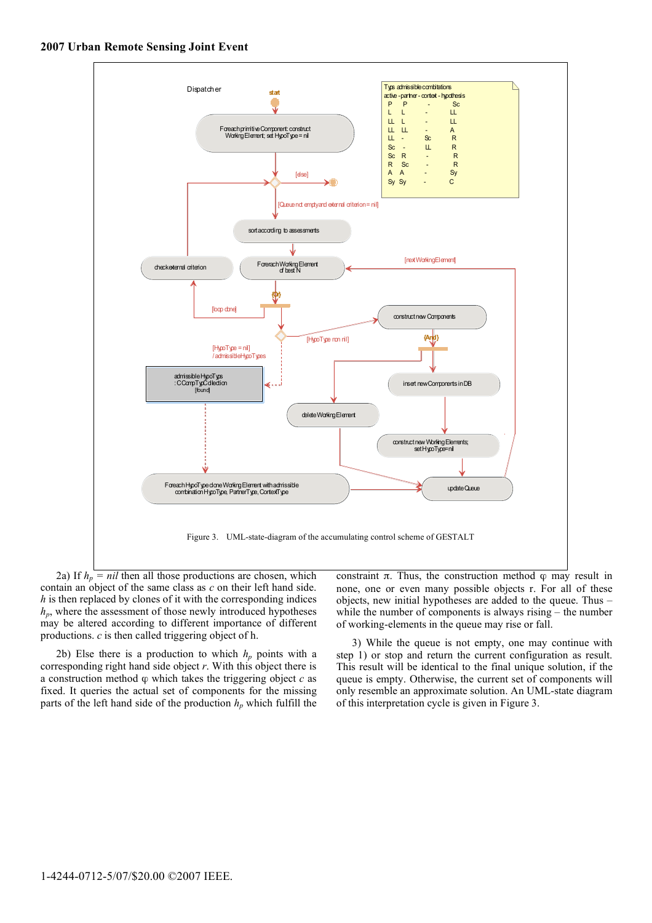

2a) If  $h_p = nil$  then all those productions are chosen, which contain an object of the same class as *c* on their left hand side. *h* is then replaced by clones of it with the corresponding indices  $h_p$ , where the assessment of those newly introduced hypotheses may be altered according to different importance of different productions. *c* is then called triggering object of h.

2b) Else there is a production to which  $h_p$  points with a corresponding right hand side object *r*. With this object there is a construction method  $\varphi$  which takes the triggering object  $c$  as fixed. It queries the actual set of components for the missing parts of the left hand side of the production  $h_p$  which fulfill the

constraint  $\pi$ . Thus, the construction method  $\varphi$  may result in none, one or even many possible objects r. For all of these objects, new initial hypotheses are added to the queue. Thus – while the number of components is always rising – the number of working-elements in the queue may rise or fall.

3) While the queue is not empty, one may continue with step 1) or stop and return the current configuration as result. This result will be identical to the final unique solution, if the queue is empty. Otherwise, the current set of components will only resemble an approximate solution. An UML-state diagram of this interpretation cycle is given in Figure 3.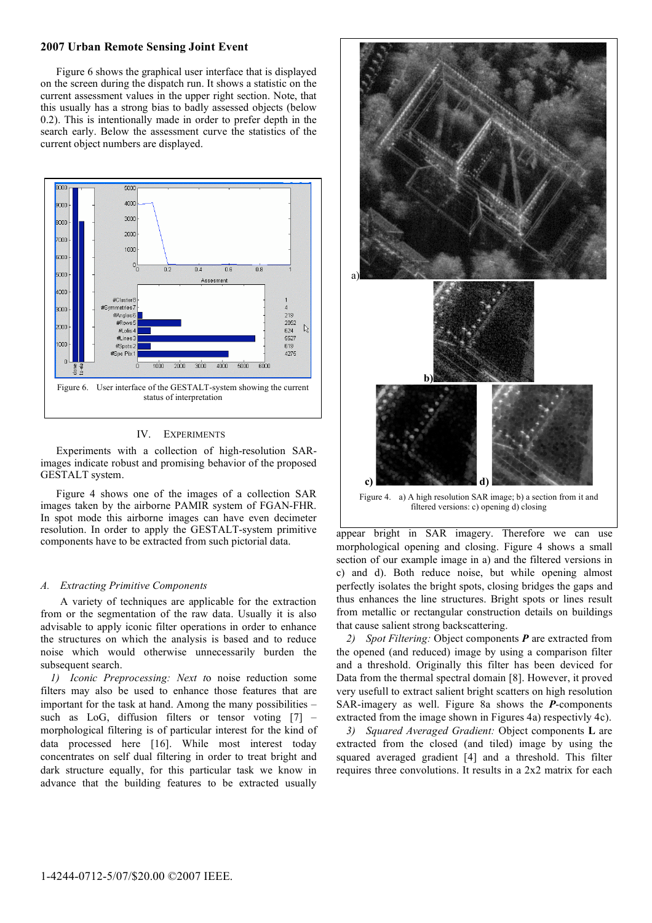## **2007 Urban Remote Sensing Joint Event**

Figure 6 shows the graphical user interface that is displayed on the screen during the dispatch run. It shows a statistic on the current assessment values in the upper right section. Note, that this usually has a strong bias to badly assessed objects (below 0.2). This is intentionally made in order to prefer depth in the search early. Below the assessment curve the statistics of the current object numbers are displayed.



## IV. EXPERIMENTS

Experiments with a collection of high-resolution SARimages indicate robust and promising behavior of the proposed GESTALT system.

Figure 4 shows one of the images of a collection SAR images taken by the airborne PAMIR system of FGAN-FHR. In spot mode this airborne images can have even decimeter resolution. In order to apply the GESTALT-system primitive components have to be extracted from such pictorial data.

#### *A. Extracting Primitive Components*

A variety of techniques are applicable for the extraction from or the segmentation of the raw data. Usually it is also advisable to apply iconic filter operations in order to enhance the structures on which the analysis is based and to reduce noise which would otherwise unnecessarily burden the subsequent search.

*1) Iconic Preprocessing: Next t*o noise reduction some filters may also be used to enhance those features that are important for the task at hand. Among the many possibilities – such as LoG, diffusion filters or tensor voting [7] – morphological filtering is of particular interest for the kind of data processed here [16]. While most interest today concentrates on self dual filtering in order to treat bright and dark structure equally, for this particular task we know in advance that the building features to be extracted usually



Figure 4. a) A high resolution SAR image; b) a section from it and filtered versions: c) opening d) closing

appear bright in SAR imagery. Therefore we can use morphological opening and closing. Figure 4 shows a small section of our example image in a) and the filtered versions in c) and d). Both reduce noise, but while opening almost perfectly isolates the bright spots, closing bridges the gaps and thus enhances the line structures. Bright spots or lines result from metallic or rectangular construction details on buildings that cause salient strong backscattering.

*2) Spot Filtering:* Object components *P* are extracted from the opened (and reduced) image by using a comparison filter and a threshold. Originally this filter has been deviced for Data from the thermal spectral domain [8]. However, it proved very usefull to extract salient bright scatters on high resolution SAR-imagery as well. Figure 8a shows the *P*-components extracted from the image shown in Figures 4a) respectivly 4c).

*3) Squared Averaged Gradient:* Object components **L** are extracted from the closed (and tiled) image by using the squared averaged gradient [4] and a threshold. This filter requires three convolutions. It results in a 2x2 matrix for each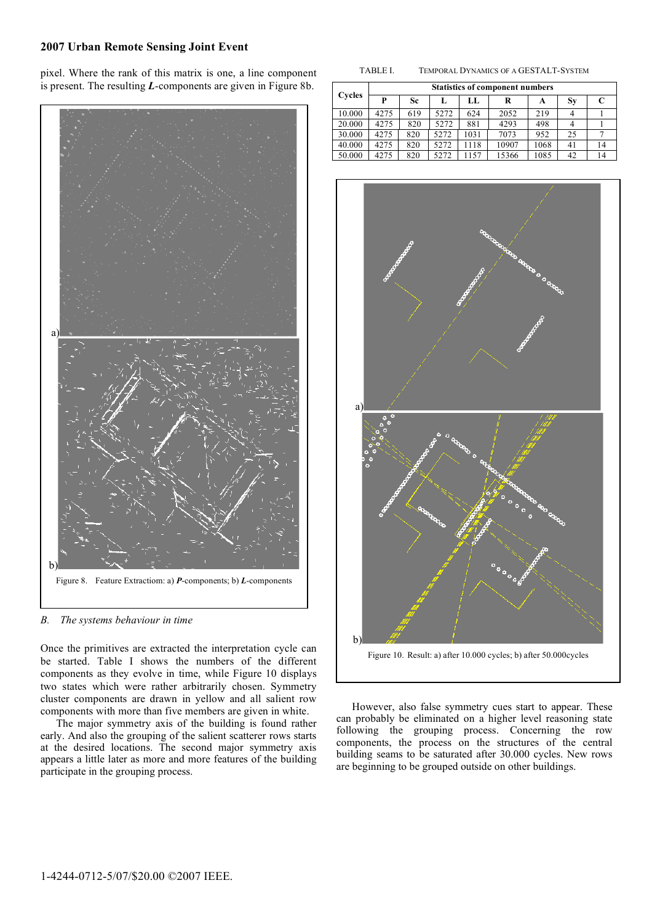# **2007 Urban Remote Sensing Joint Event**

pixel. Where the rank of this matrix is one, a line component is present. The resulting *L*-components are given in Figure 8b.



*B. The systems behaviour in time* 

Once the primitives are extracted the interpretation cycle can be started. Table I shows the numbers of the different components as they evolve in time, while Figure 10 displays two states which were rather arbitrarily chosen. Symmetry cluster components are drawn in yellow and all salient row components with more than five members are given in white.

The major symmetry axis of the building is found rather early. And also the grouping of the salient scatterer rows starts at the desired locations. The second major symmetry axis appears a little later as more and more features of the building participate in the grouping process.

|  | TABLE I. | TEMPORAL DYNAMICS OF A GESTALT-SYSTEM |
|--|----------|---------------------------------------|
|--|----------|---------------------------------------|

| Cycles | <b>Statistics of component numbers</b> |     |      |      |       |      |           |    |
|--------|----------------------------------------|-----|------|------|-------|------|-----------|----|
|        | P                                      | Sc. | L    | LL.  | R     | A    | <b>Sy</b> |    |
| 10.000 | 4275                                   | 619 | 5272 | 624  | 2052  | 219  |           |    |
| 20.000 | 4275                                   | 820 | 5272 | 881  | 4293  | 498  |           |    |
| 30.000 | 4275                                   | 820 | 5272 | 1031 | 7073  | 952  | 25        |    |
| 40.000 | 4275                                   | 820 | 5272 | 1118 | 10907 | 1068 | 41        | 14 |
| 50.000 | 4275                                   | 820 | 5272 | 1157 | 15366 | 1085 | 42        | 14 |



However, also false symmetry cues start to appear. These can probably be eliminated on a higher level reasoning state following the grouping process. Concerning the row components, the process on the structures of the central building seams to be saturated after 30.000 cycles. New rows are beginning to be grouped outside on other buildings.